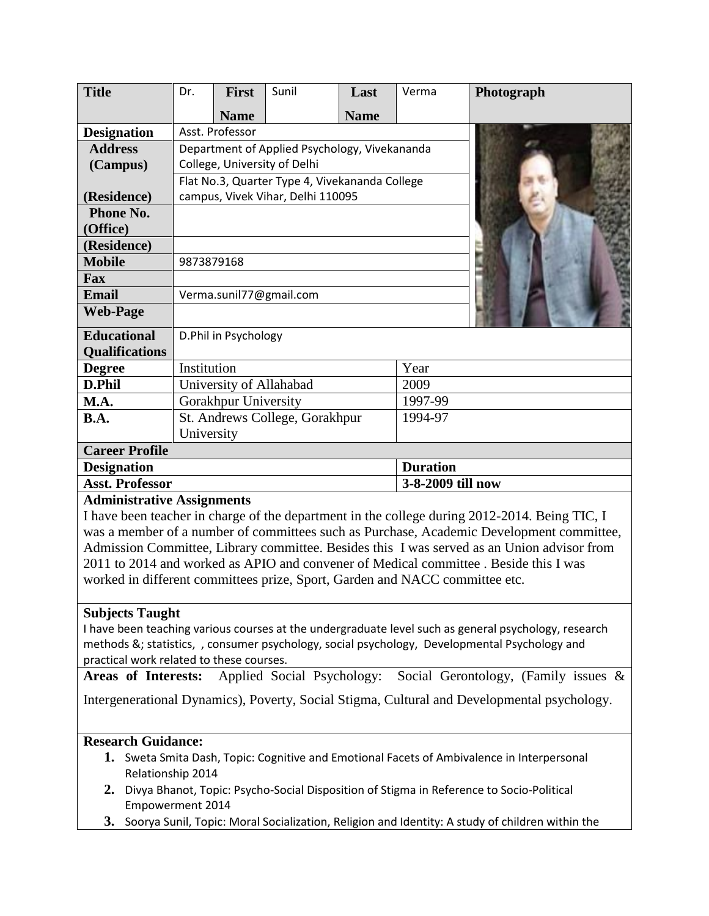| <b>Title</b>                                                                                                                                                                           | Dr.                                            | <b>First</b> | Sunil | Last        | Verma             | Photograph                                                                                    |
|----------------------------------------------------------------------------------------------------------------------------------------------------------------------------------------|------------------------------------------------|--------------|-------|-------------|-------------------|-----------------------------------------------------------------------------------------------|
|                                                                                                                                                                                        |                                                | <b>Name</b>  |       | <b>Name</b> |                   |                                                                                               |
| <b>Designation</b>                                                                                                                                                                     | Asst. Professor                                |              |       |             |                   |                                                                                               |
| <b>Address</b>                                                                                                                                                                         | Department of Applied Psychology, Vivekananda  |              |       |             |                   |                                                                                               |
| (Campus)                                                                                                                                                                               | College, University of Delhi                   |              |       |             |                   |                                                                                               |
|                                                                                                                                                                                        | Flat No.3, Quarter Type 4, Vivekananda College |              |       |             |                   |                                                                                               |
| (Residence)                                                                                                                                                                            | campus, Vivek Vihar, Delhi 110095              |              |       |             |                   |                                                                                               |
| <b>Phone No.</b>                                                                                                                                                                       |                                                |              |       |             |                   |                                                                                               |
| (Office)                                                                                                                                                                               |                                                |              |       |             |                   |                                                                                               |
| (Residence)                                                                                                                                                                            |                                                |              |       |             |                   |                                                                                               |
| <b>Mobile</b>                                                                                                                                                                          | 9873879168                                     |              |       |             |                   |                                                                                               |
| Fax                                                                                                                                                                                    |                                                |              |       |             |                   |                                                                                               |
| <b>Email</b>                                                                                                                                                                           | Verma.sunil77@gmail.com                        |              |       |             |                   |                                                                                               |
| <b>Web-Page</b>                                                                                                                                                                        |                                                |              |       |             |                   |                                                                                               |
| <b>Educational</b>                                                                                                                                                                     | D.Phil in Psychology                           |              |       |             |                   |                                                                                               |
| <b>Qualifications</b>                                                                                                                                                                  |                                                |              |       |             |                   |                                                                                               |
| <b>Degree</b>                                                                                                                                                                          | Institution                                    |              |       |             | Year              |                                                                                               |
| D.Phil                                                                                                                                                                                 | University of Allahabad                        |              |       |             | 2009              |                                                                                               |
| M.A.                                                                                                                                                                                   | Gorakhpur University                           |              |       |             | 1997-99           |                                                                                               |
| <b>B.A.</b>                                                                                                                                                                            | St. Andrews College, Gorakhpur                 |              |       |             | 1994-97           |                                                                                               |
|                                                                                                                                                                                        | University                                     |              |       |             |                   |                                                                                               |
| <b>Career Profile</b>                                                                                                                                                                  |                                                |              |       |             |                   |                                                                                               |
| <b>Designation</b>                                                                                                                                                                     |                                                |              |       |             | <b>Duration</b>   |                                                                                               |
| <b>Asst. Professor</b>                                                                                                                                                                 |                                                |              |       |             | 3-8-2009 till now |                                                                                               |
| <b>Administrative Assignments</b>                                                                                                                                                      |                                                |              |       |             |                   |                                                                                               |
| I have been teacher in charge of the department in the college during 2012-2014. Being TIC, I                                                                                          |                                                |              |       |             |                   |                                                                                               |
| was a member of a number of committees such as Purchase, Academic Development committee,<br>Admission Committee, Library committee. Besides this I was served as an Union advisor from |                                                |              |       |             |                   |                                                                                               |
| 2011 to 2014 and worked as APIO and convener of Medical committee . Beside this I was                                                                                                  |                                                |              |       |             |                   |                                                                                               |
| worked in different committees prize, Sport, Garden and NACC committee etc.                                                                                                            |                                                |              |       |             |                   |                                                                                               |
|                                                                                                                                                                                        |                                                |              |       |             |                   |                                                                                               |
| <b>Subjects Taught</b>                                                                                                                                                                 |                                                |              |       |             |                   |                                                                                               |
| I have been teaching various courses at the undergraduate level such as general psychology, research                                                                                   |                                                |              |       |             |                   |                                                                                               |
|                                                                                                                                                                                        |                                                |              |       |             |                   | methods &; statistics, , consumer psychology, social psychology, Developmental Psychology and |
| practical work related to these courses.                                                                                                                                               |                                                |              |       |             |                   |                                                                                               |
| Applied Social Psychology:<br>Areas of Interests:<br>Social Gerontology, (Family issues $\&$                                                                                           |                                                |              |       |             |                   |                                                                                               |

Intergenerational Dynamics), Poverty, Social Stigma, Cultural and Developmental psychology.

# **Research Guidance:**

- **1.** Sweta Smita Dash, Topic: Cognitive and Emotional Facets of Ambivalence in Interpersonal Relationship 2014
- **2.** Divya Bhanot, Topic: Psycho-Social Disposition of Stigma in Reference to Socio-Political Empowerment 2014
- **3.** Soorya Sunil, Topic: Moral Socialization, Religion and Identity: A study of children within the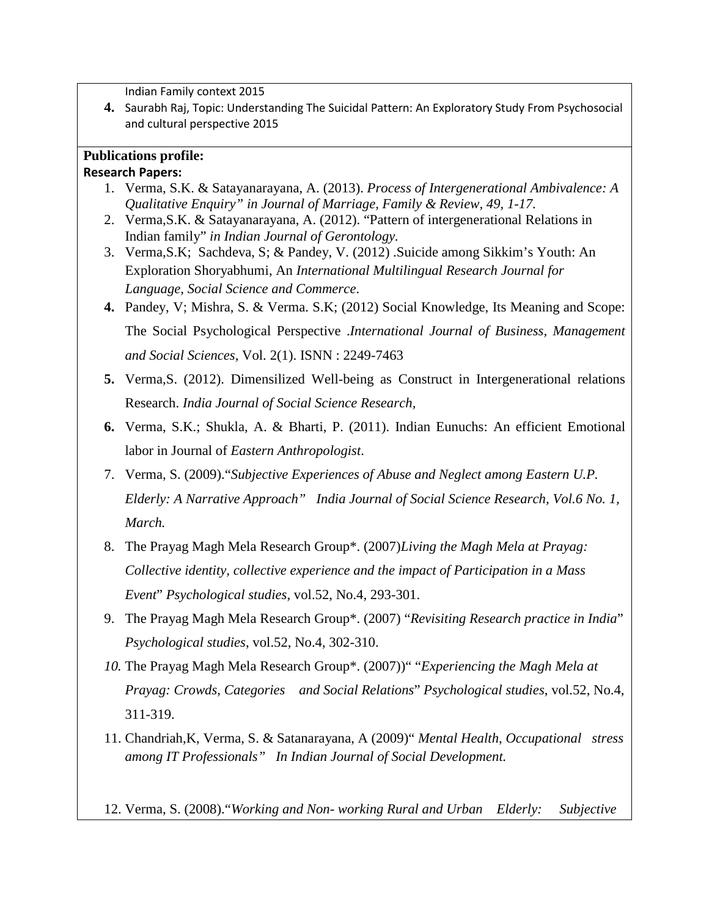Indian Family context 2015

**4.** Saurabh Raj, Topic: Understanding The Suicidal Pattern: An Exploratory Study From Psychosocial and cultural perspective 2015

# **Publications profile:**

### **Research Papers:**

- 1. Verma, S.K. & Satayanarayana, A. (2013). *Process of Intergenerational Ambivalence: A Qualitative Enquiry" in Journal of Marriage, Family & Review, 49, 1-17.*
- 2. Verma,S.K. & Satayanarayana, A. (2012). "Pattern of intergenerational Relations in Indian family" *in Indian Journal of Gerontology.*
- 3. Verma,S.K; Sachdeva, S; & Pandey, V. (2012) .Suicide among Sikkim's Youth: An Exploration Shoryabhumi, An *International Multilingual Research Journal for Language, Social Science and Commerce*.
- **4.** Pandey, V; Mishra, S. & Verma. S.K; (2012) Social Knowledge, Its Meaning and Scope: The Social Psychological Perspective .*International Journal of Business, Management and Social Sciences,* Vol. 2(1). ISNN : 2249-7463
- **5.** Verma,S. (2012). Dimensilized Well-being as Construct in Intergenerational relations Research. *India Journal of Social Science Research,*
- **6.** Verma, S.K.; Shukla, A. & Bharti, P. (2011). Indian Eunuchs: An efficient Emotional labor in Journal of *Eastern Anthropologist*.
- 7. Verma, S. (2009)."*Subjective Experiences of Abuse and Neglect among Eastern U.P. Elderly: A Narrative Approach" India Journal of Social Science Research, Vol.6 No. 1, March.*
- 8. The Prayag Magh Mela Research Group\*. (2007)*Living the Magh Mela at Prayag: Collective identity, collective experience and the impact of Participation in a Mass Event*" *Psychological studies*, vol.52, No.4, 293-301.
- 9. The Prayag Magh Mela Research Group\*. (2007) "*Revisiting Research practice in India*" *Psychological studies*, vol.52, No.4, 302-310.
- *10.* The Prayag Magh Mela Research Group\*. (2007))" "*Experiencing the Magh Mela at Prayag: Crowds, Categories and Social Relations*" *Psychological studies*, vol.52, No.4, 311-319.
- 11. Chandriah,K, Verma, S. & Satanarayana, A (2009)" *Mental Health, Occupational stress among IT Professionals" In Indian Journal of Social Development.*

12. Verma, S. (2008)."*Working and Non- working Rural and Urban Elderly: Subjective*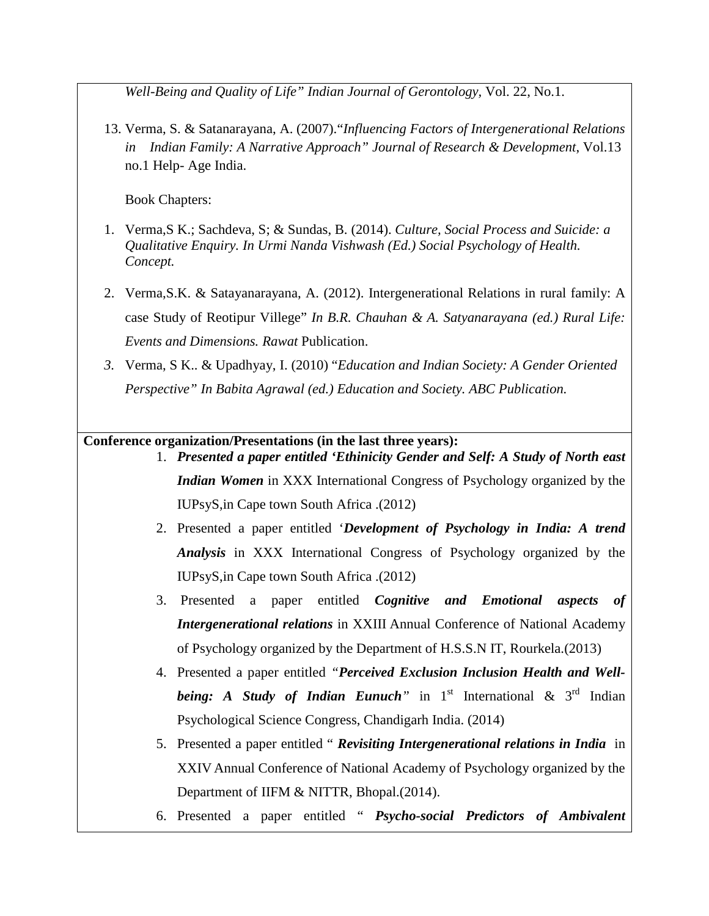*Well-Being and Quality of Life" Indian Journal of Gerontology,* Vol. 22, No.1.

13. Verma, S. & Satanarayana, A. (2007)."*Influencing Factors of Intergenerational Relations in Indian Family: A Narrative Approach" Journal of Research & Development*, Vol.13 no.1 Help- Age India.

Book Chapters:

- 1. Verma,S K.; Sachdeva, S; & Sundas, B. (2014). *Culture, Social Process and Suicide: a Qualitative Enquiry. In Urmi Nanda Vishwash (Ed.) Social Psychology of Health. Concept.*
- 2. Verma,S.K. & Satayanarayana, A. (2012). Intergenerational Relations in rural family: A case Study of Reotipur Villege" *In B.R. Chauhan & A. Satyanarayana (ed.) Rural Life: Events and Dimensions. Rawat* Publication.
- *3.* Verma, S K.. & Upadhyay, I. (2010) "*Education and Indian Society: A Gender Oriented Perspective" In Babita Agrawal (ed.) Education and Society. ABC Publication.*

**Conference organization/Presentations (in the last three years):**

- 1. *Presented a paper entitled 'Ethinicity Gender and Self: A Study of North east Indian Women* in XXX International Congress of Psychology organized by the IUPsyS,in Cape town South Africa .(2012)
- 2. Presented a paper entitled '*Development of Psychology in India: A trend Analysis* in XXX International Congress of Psychology organized by the IUPsyS,in Cape town South Africa .(2012)
- 3. Presented a paper entitled *Cognitive and Emotional aspects of Intergenerational relations* in XXIII Annual Conference of National Academy of Psychology organized by the Department of H.S.S.N IT, Rourkela.(2013)
- 4. Presented a paper entitled *"Perceived Exclusion Inclusion Health and Wellbeing: A Study of Indian Eunuch*<sup>"</sup> in 1<sup>st</sup> International  $\&$  3<sup>rd</sup> Indian Psychological Science Congress, Chandigarh India. (2014)
- 5. Presented a paper entitled " *Revisiting Intergenerational relations in India* in XXIV Annual Conference of National Academy of Psychology organized by the Department of IIFM & NITTR, Bhopal.(2014).
- 6. Presented a paper entitled " *Psycho-social Predictors of Ambivalent*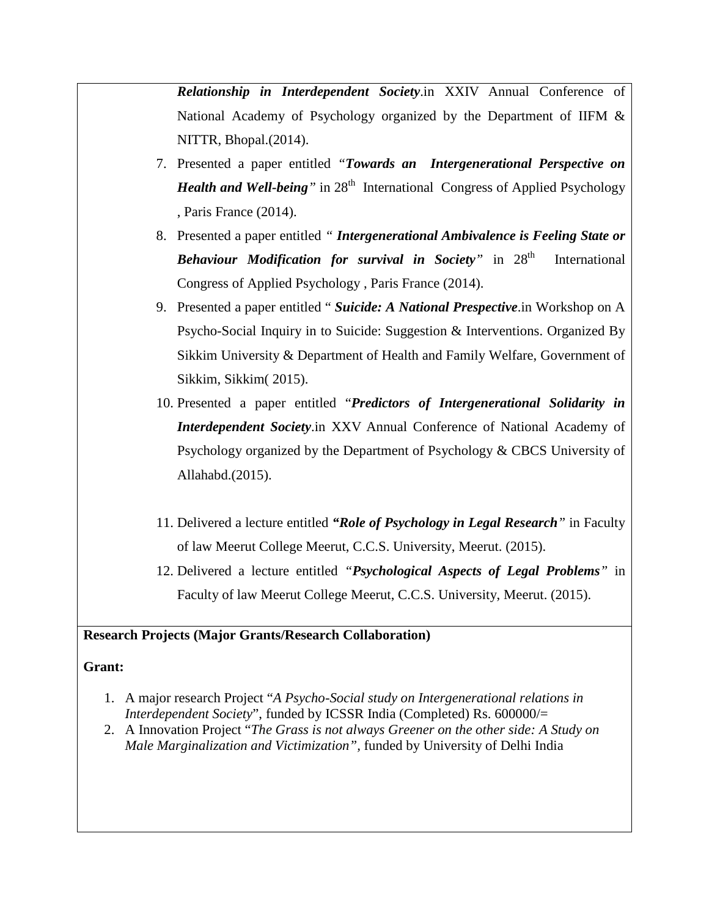*Relationship in Interdependent Society*.in XXIV Annual Conference of National Academy of Psychology organized by the Department of IIFM & NITTR, Bhopal.(2014).

- 7. Presented a paper entitled *"Towards an Intergenerational Perspective on Health and Well-being*<sup>"</sup> in 28<sup>th</sup> International Congress of Applied Psychology , Paris France (2014).
- 8. Presented a paper entitled *" Intergenerational Ambivalence is Feeling State or Behaviour Modification for survival in Society*<sup>*"*</sup> in 28<sup>th</sup> International Congress of Applied Psychology , Paris France (2014).
- 9. Presented a paper entitled " *Suicide: A National Prespective*.in Workshop on A Psycho-Social Inquiry in to Suicide: Suggestion & Interventions. Organized By Sikkim University & Department of Health and Family Welfare, Government of Sikkim, Sikkim( 2015).
- 10. Presented a paper entitled "*Predictors of Intergenerational Solidarity in Interdependent Society*.in XXV Annual Conference of National Academy of Psychology organized by the Department of Psychology & CBCS University of Allahabd.(2015).
- 11. Delivered a lecture entitled *"Role of Psychology in Legal Research"* in Faculty of law Meerut College Meerut, C.C.S. University, Meerut. (2015).
- 12. Delivered a lecture entitled *"Psychological Aspects of Legal Problems"* in Faculty of law Meerut College Meerut, C.C.S. University, Meerut. (2015).

## **Research Projects (Major Grants/Research Collaboration)**

#### **Grant:**

- 1. A major research Project "*A Psycho-Social study on Intergenerational relations in Interdependent Society*", funded by ICSSR India (Completed) Rs. 600000/=
- 2. A Innovation Project "*The Grass is not always Greener on the other side: A Study on Male Marginalization and Victimization",* funded by University of Delhi India